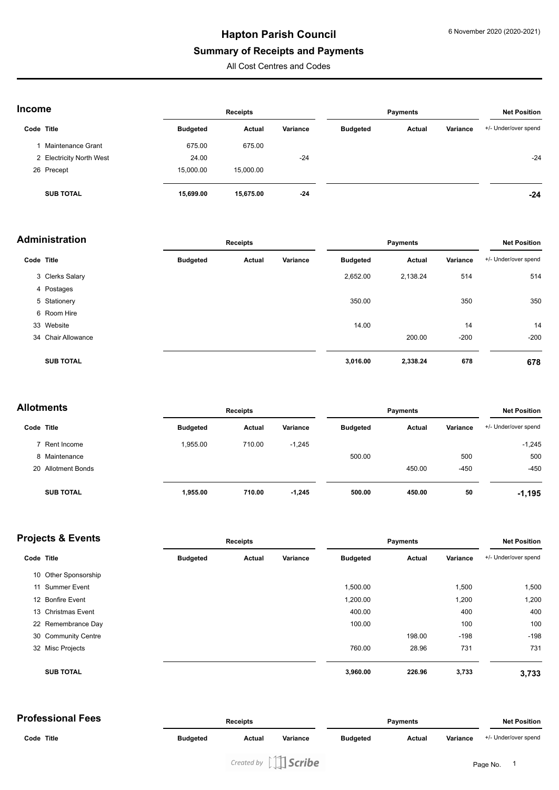# **Hapton Parish Council**

#### **Summary of Receipts and Payments**

All Cost Centres and Codes

| <b>Income</b> |
|---------------|
|---------------|

| <b>Income</b> |                          | <b>Receipts</b> |           |          | <b>Payments</b> |        |          | <b>Net Position</b>  |  |
|---------------|--------------------------|-----------------|-----------|----------|-----------------|--------|----------|----------------------|--|
| Code Title    |                          | <b>Budgeted</b> | Actual    | Variance | <b>Budgeted</b> | Actual | Variance | +/- Under/over spend |  |
|               | Maintenance Grant        | 675.00          | 675.00    |          |                 |        |          |                      |  |
|               | 2 Electricity North West | 24.00           |           | $-24$    |                 |        |          | $-24$                |  |
|               | 26 Precept               | 15,000.00       | 15,000.00 |          |                 |        |          |                      |  |
|               | <b>SUB TOTAL</b>         | 15,699.00       | 15,675.00 | $-24$    |                 |        |          | $-24$                |  |

| <b>Administration</b> |                    | <b>Receipts</b> |        |          | <b>Payments</b> |               |          | <b>Net Position</b>  |  |
|-----------------------|--------------------|-----------------|--------|----------|-----------------|---------------|----------|----------------------|--|
| Code Title            |                    | <b>Budgeted</b> | Actual | Variance | <b>Budgeted</b> | <b>Actual</b> | Variance | +/- Under/over spend |  |
|                       | 3 Clerks Salary    |                 |        |          | 2,652.00        | 2,138.24      | 514      | 514                  |  |
|                       | 4 Postages         |                 |        |          |                 |               |          |                      |  |
|                       | 5 Stationery       |                 |        |          | 350.00          |               | 350      | 350                  |  |
|                       | 6 Room Hire        |                 |        |          |                 |               |          |                      |  |
|                       | 33 Website         |                 |        |          | 14.00           |               | 14       | 14                   |  |
|                       | 34 Chair Allowance |                 |        |          |                 | 200.00        | $-200$   | $-200$               |  |
|                       | <b>SUB TOTAL</b>   |                 |        |          | 3,016.00        | 2,338.24      | 678      | 678                  |  |

| <b>Allotments</b> |                    | <b>Receipts</b> |        |          | <b>Payments</b> |        |          | <b>Net Position</b>  |  |
|-------------------|--------------------|-----------------|--------|----------|-----------------|--------|----------|----------------------|--|
| Code Title        |                    | <b>Budgeted</b> | Actual | Variance | <b>Budgeted</b> | Actual | Variance | +/- Under/over spend |  |
|                   | 7 Rent Income      | 1.955.00        | 710.00 | $-1,245$ |                 |        |          | $-1,245$             |  |
|                   | 8 Maintenance      |                 |        |          | 500.00          |        | 500      | 500                  |  |
|                   | 20 Allotment Bonds |                 |        |          |                 | 450.00 | $-450$   | $-450$               |  |
|                   | <b>SUB TOTAL</b>   | 1,955.00        | 710.00 | $-1,245$ | 500.00          | 450.00 | 50       | $-1,195$             |  |

#### **Projects & Events Receipts Receipts Receipts Payments Payments Receipts Receipts Receipts Receipts Receipts Receipts Receipts Receipts Receipts Receipts Receipts Receipts Receipts Rec**

|  | Code Title           | <b>Budgeted</b> | Actual | Variance | <b>Budgeted</b> | Actual | Variance | +/- Under/over spend |
|--|----------------------|-----------------|--------|----------|-----------------|--------|----------|----------------------|
|  | 10 Other Sponsorship |                 |        |          |                 |        |          |                      |
|  | 11 Summer Event      |                 |        |          | 1,500.00        |        | 1,500    | 1,500                |
|  | 12 Bonfire Event     |                 |        |          | 1,200.00        |        | 1,200    | 1,200                |
|  | 13 Christmas Event   |                 |        |          | 400.00          |        | 400      | 400                  |
|  | 22 Remembrance Day   |                 |        |          | 100.00          |        | 100      | 100                  |
|  | 30 Community Centre  |                 |        |          |                 | 198.00 | $-198$   | $-198$               |
|  | 32 Misc Projects     |                 |        |          | 760.00          | 28.96  | 731      | 731                  |
|  | <b>SUB TOTAL</b>     |                 |        |          | 3,960.00        | 226.96 | 3,733    | 3,733                |
|  |                      |                 |        |          |                 |        |          |                      |

| <b>Professional Fees</b> |                 | <b>Receipts</b> |          |                 | <b>Payments</b> |          |                      |
|--------------------------|-----------------|-----------------|----------|-----------------|-----------------|----------|----------------------|
| Code Title               | <b>Budgeted</b> | Actual          | Variance | <b>Budgeted</b> | Actual          | Variance | +/- Under/over spend |
|                          |                 |                 |          |                 |                 |          |                      |